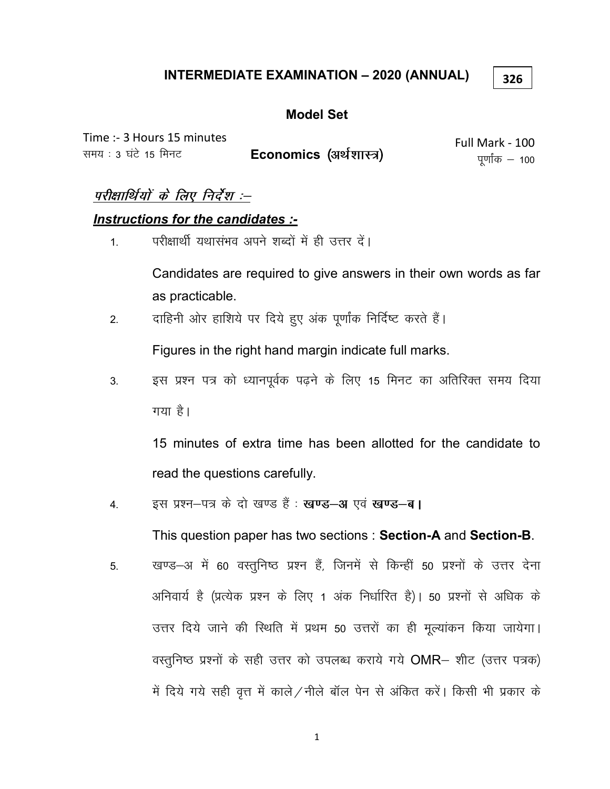### **INTERMEDIATE EXAMINATION - 2020 (ANNUAL)**

326

### **Model Set**

Time :- 3 Hours 15 minutes समय: 3 घंटे 15 मिनट Economics (अर्थशास्त्र)

Full Mark - 100 पूर्णांक  $-$  100

### परीक्षार्थियों के लिए निर्देश :--

### Instructions for the candidates :-

परीक्षार्थी यथासंभव अपने शब्दों में ही उत्तर दें।  $\overline{1}$ 

> Candidates are required to give answers in their own words as far as practicable.

दाहिनी ओर हाशिये पर दिये हुए अंक पूर्णांक निर्दिष्ट करते हैं।  $2.$ 

Figures in the right hand margin indicate full marks.

इस प्रश्न पत्र को ध्यानपूर्वक पढ़ने के लिए 15 मिनट का अतिरिक्त समय दिया  $3_{-}$ गया है।

15 minutes of extra time has been allotted for the candidate to read the questions carefully.

इस प्रश्न-पत्र के दो खण्ड हैं : खण्ड-अ एवं खण्ड-ब। 4.

This question paper has two sections: Section-A and Section-B.

खण्ड–अ में 60 वस्तुनिष्ठ प्रश्न हैं, जिनमें से किन्हीं 50 प्रश्नों के उत्तर देना 5. अनिवार्य है (प्रत्येक प्रश्न के लिए 1 अंक निर्धारित है)। 50 प्रश्नों से अधिक के उत्तर दिये जाने की स्थिति में प्रथम 50 उत्तरों का ही मूल्यांकन किया जायेगा। वस्तुनिष्ठ प्रश्नों के सही उत्तर को उपलब्ध कराये गये OMR- शीट (उत्तर पत्रक) में दिये गये सही वृत्त में काले/नीले बॉल पेन से अंकित करें। किसी भी प्रकार के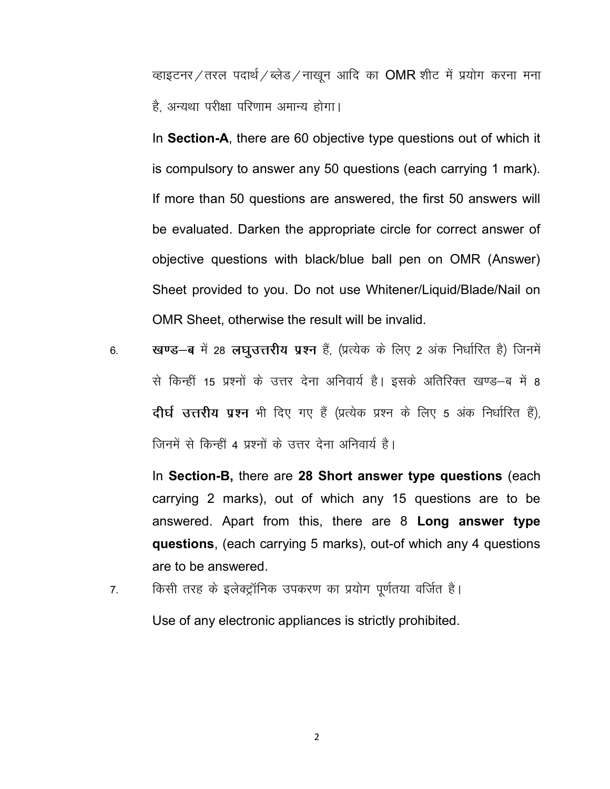व्हाइटनर/तरल पदार्थ/ब्लेड/नाखून आदि का OMR शीट में प्रयोग करना मना है, अन्यथा परीक्षा परिणाम अमान्य होगा।

In Section-A, there are 60 objective type questions out of which it is compulsory to answer any 50 questions (each carrying 1 mark). If more than 50 questions are answered, the first 50 answers will be evaluated. Darken the appropriate circle for correct answer of objective questions with black/blue ball pen on OMR (Answer) Sheet provided to you. Do not use Whitener/Liquid/Blade/Nail on OMR Sheet, otherwise the result will be invalid.

6. **खण्ड-ब** में 28 **लघुउत्तरीय प्रश्न** हैं, (प्रत्येक के लिए 2 अंक निर्धारित है) जिनमें से किन्हीं 15 प्रश्नों के उत्तर देना अनिवार्य है। इसके अतिरिक्त खण्ड–ब में 8 दीर्घ उत्तरीय प्रश्न भी दिए गए हैं (प्रत्येक प्रश्न के लिए 5 अंक निर्धारित हैं), जिनमें से किन्हीं 4 प्रश्नों के उत्तर देना अनिवार्य है।

In Section-B, there are 28 Short answer type questions (each carrying 2 marks), out of which any 15 questions are to be answered. Apart from this, there are 8 Long answer type questions, (each carrying 5 marks), out-of which any 4 questions are to be answered.

7. विश्मी तरह के इलेक्ट्रॉनिक उपकरण का प्रयोग पूर्णतया वर्जित है।

Use of any electronic appliances is strictly prohibited.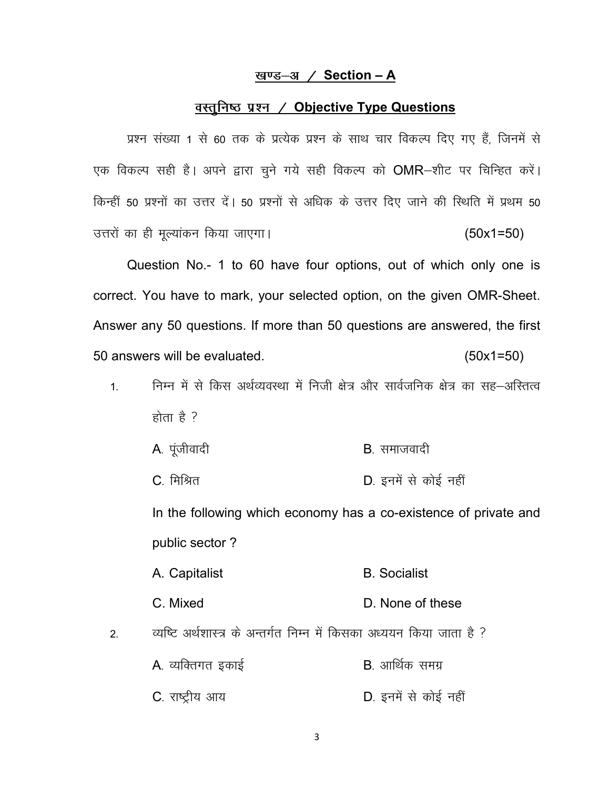#### <u>खण्ड $-3$  / Section – A</u>

### <u>वस्तुनिष्ठ प्रश्न / Objective Type Questions</u>

प्रश्न संख्या 1 से 60 तक के प्रत्येक प्रश्न के साथ चार विकल्प दिए गए हैं, जिनमें से एक विकल्प सही है। अपने द्वारा चूने गये सही विकल्प को OMR-शीट पर चिन्हित करें। किन्हीं 50 प्रश्नों का उत्तर दें। 50 प्रश्नों से अधिक के उत्तर दिए जाने की स्थिति में प्रथम 50 उत्तरों का ही मूल्यांकन किया जाएगा।  $(50x1=50)$ 

Question No.- 1 to 60 have four options, out of which only one is correct. You have to mark, your selected option, on the given OMR-Sheet. Answer any 50 questions. If more than 50 questions are answered, the first 50 answers will be evaluated. (50x1=50)

- 1- fuEu esa l s fdl vFk ZO;oLFkk e sa futh {k s= vkSj lkoZtfud {ks= dk lg&vfLrRo होता है ?
	- $A_{\cdot}$  पंजीवादी  $B_{\cdot}$  समाजवादी
	- C. मिश्रित खाद्य करने हैं। पत्र पर D. इनमें से कोई नहीं

In the following which economy has a co-existence of private and public sector ?

- A. Capitalist B. Socialist
- C. Mixed D. None of these
- 2. व्यष्टि अर्थशास्त्र के अन्तर्गत निम्न में किसका अध्ययन किया जाता है ?
	- A. व्यक्तिगत इकाई<br>B. आर्थिक समग्र C. राष्ट्रीय आय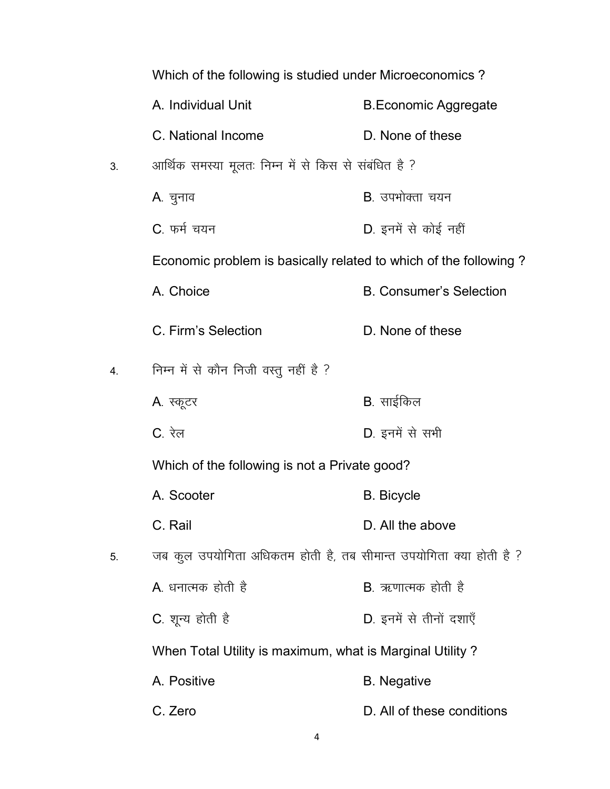|    | Which of the following is studied under Microeconomics?            |                                |
|----|--------------------------------------------------------------------|--------------------------------|
|    | A. Individual Unit                                                 | <b>B.Economic Aggregate</b>    |
|    | C. National Income                                                 | D. None of these               |
| 3. | आर्थिक समस्या मूलतः निम्न में से किस से संबंधित है ?               |                                |
|    | A. चुनाव                                                           | B. उपभोक्ता चयन                |
|    | C. फर्म चयन                                                        | D. इनमें से कोई नहीं           |
|    | Economic problem is basically related to which of the following?   |                                |
|    | A. Choice                                                          | <b>B. Consumer's Selection</b> |
|    | C. Firm's Selection                                                | D. None of these               |
| 4. | निम्न में से कौन निजी वस्तु नहीं है ?                              |                                |
|    | A. स्कूटर                                                          | B. साईकिल                      |
|    | C. रेल                                                             | D. इनमें से सभी                |
|    | Which of the following is not a Private good?                      |                                |
|    | A. Scooter                                                         | <b>B.</b> Bicycle              |
|    | C. Rail                                                            | D. All the above               |
| 5. | जब कुल उपयोगिता अधिकतम होती है, तब सीमान्त उपयोगिता क्या होती है ? |                                |
|    | A. धनात्मक होती है                                                 | <b>B</b> . ऋणात्मक होती है     |
|    | C. शून्य होती है                                                   | D. इनमें से तीनों दशाएँ        |
|    | When Total Utility is maximum, what is Marginal Utility?           |                                |
|    | A. Positive                                                        | <b>B.</b> Negative             |
|    | C. Zero                                                            | D. All of these conditions     |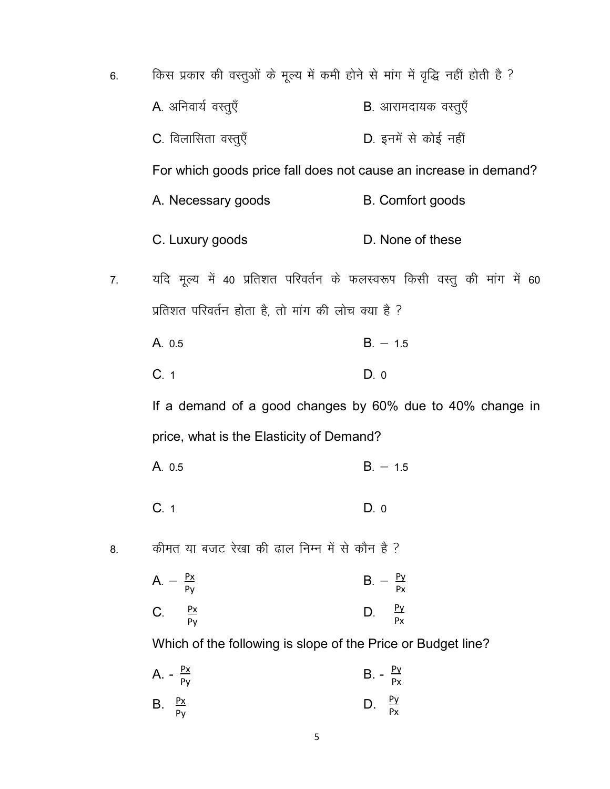| 6. | किस प्रकार की वस्तुओं के मूल्य में कमी होने से मांग में वृद्धि नहीं होती है ? |                             |
|----|-------------------------------------------------------------------------------|-----------------------------|
|    | A. अनिवार्य वस्तुएँ                                                           | <b>B</b> . आरामदायक वस्तुएँ |
|    | C. विलासिता वस्तुएँ                                                           | D. इनमें से कोई नहीं        |
|    | For which goods price fall does not cause an increase in demand?              |                             |
|    | A. Necessary goods                                                            | <b>B.</b> Comfort goods     |
|    | C. Luxury goods                                                               | D. None of these            |
| 7. | यदि मूल्य में 40 प्रतिशत परिवर्तन के फलस्वरूप किसी वस्तु की मांग में 60       |                             |
|    | प्रतिशत परिवर्तन होता है, तो मांग की लोच क्या है ?                            |                             |
|    | A. 0.5                                                                        | $B. - 1.5$                  |
|    | C.1                                                                           | D.0                         |
|    | If a demand of a good changes by 60% due to 40% change in                     |                             |
|    | price, what is the Elasticity of Demand?                                      |                             |
|    | A. 0.5                                                                        | $B. - 1.5$                  |
|    | C.1                                                                           | D.0                         |
| 8. | कीमत या बजट रेखा की ढाल निम्न में से कौन है ?                                 |                             |
|    | $A. - \frac{Px}{Py}$                                                          | <u>Py</u><br>$B -$<br>Px    |

 ${\sf Py}$  $\frac{Py}{Px}$  $\frac{Px}{Py}$  $\mathsf{C}$ . D.

Which of the following is slope of the Price or Budget line?

|                    | A. - $\frac{Px}{Py}$ | <b>B.</b> - $\frac{Py}{Px}$ |  |
|--------------------|----------------------|-----------------------------|--|
| B. $\frac{Px}{Py}$ |                      | D. $\frac{Py}{Px}$          |  |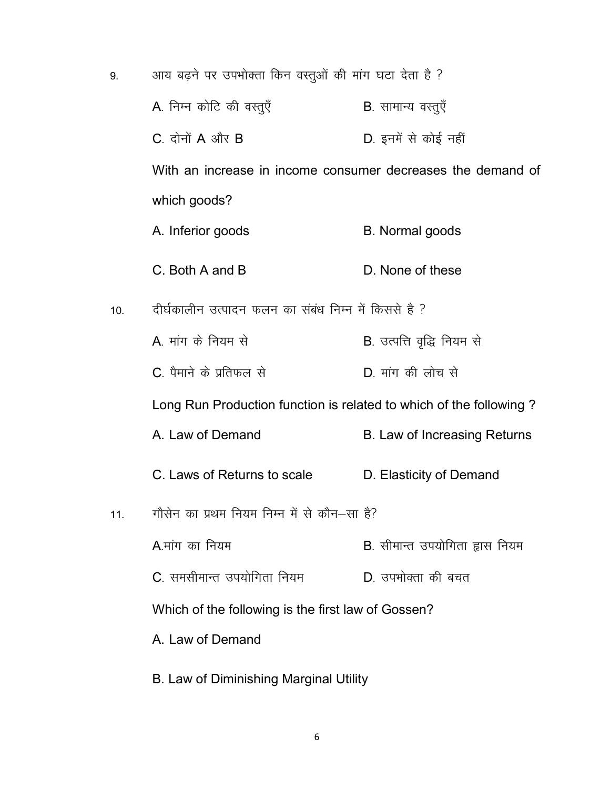| 9.  | आय बढ़ने पर उपभोक्ता किन वस्तुओं की मांग घटा देता है ?             |                                |
|-----|--------------------------------------------------------------------|--------------------------------|
|     | A. निम्न कोटि की वस्तुएँ                                           | <b>B</b> . सामान्य वस्तुएँ     |
|     | $C.$ दोनों $A$ और $B$                                              | D. इनमें से कोई नहीं           |
|     | With an increase in income consumer decreases the demand of        |                                |
|     | which goods?                                                       |                                |
|     | A. Inferior goods                                                  | <b>B.</b> Normal goods         |
|     | C. Both A and B                                                    | D. None of these               |
| 10. | दीर्घकालीन उत्पादन फलन का संबंध निम्न में किससे है ?               |                                |
|     | A मांग के नियम से                                                  | B. उत्पत्ति वृद्धि नियम से     |
|     | C. पैमाने के प्रतिफल से                                            | D. मांग की लोच से              |
|     | Long Run Production function is related to which of the following? |                                |
|     | A. Law of Demand                                                   | B. Law of Increasing Returns   |
|     | C. Laws of Returns to scale                                        | D. Elasticity of Demand        |
| 11. | गौसेन का प्रथम नियम निम्न में से कौन–सा है?                        |                                |
|     | A मांग का नियम                                                     | B. सीमान्त उपयोगिता ह्रास नियम |
|     | C. समसीमान्त उपयोगिता नियम                                         | D. उपभोक्ता की बचत             |
|     | Which of the following is the first law of Gossen?                 |                                |
|     | A. Law of Demand                                                   |                                |
|     | B. Law of Diminishing Marginal Utility                             |                                |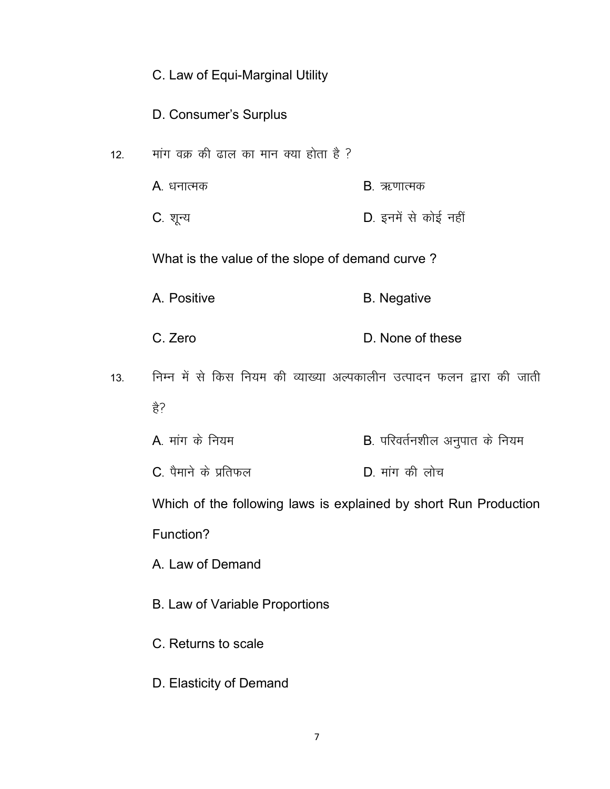# C. Law of Equi-Marginal Utility

D. Consumer's Surplus

- 12.  $\frac{1}{2}$  मांग वक्र की ढाल का मान क्या होता है ?
	- A. धनात्मक B. ऋणात्मक
	- C. शून्य बाद कर कर 2008 को साथ पर D. इनमें से कोई नहीं

What is the value of the slope of demand curve ?

- A. Positive B. Negative
- C. Zero D. None of these
- 13. जिम्न में से किस नियम की व्याख्या अल्पकालीन उत्पादन फलन द्वारा की जाती  $\frac{4}{5}$ ?
	- A. मांग के नियम <u>and the secondal B. परिवर्तनशील अनुपात के निय</u>म
	- $C$ , पैमाने के प्रतिफल  $D$ , मांग की लोच

Which of the following laws is explained by short Run Production Function?

A. Law of Demand

- B. Law of Variable Proportions
- C. Returns to scale
- D. Elasticity of Demand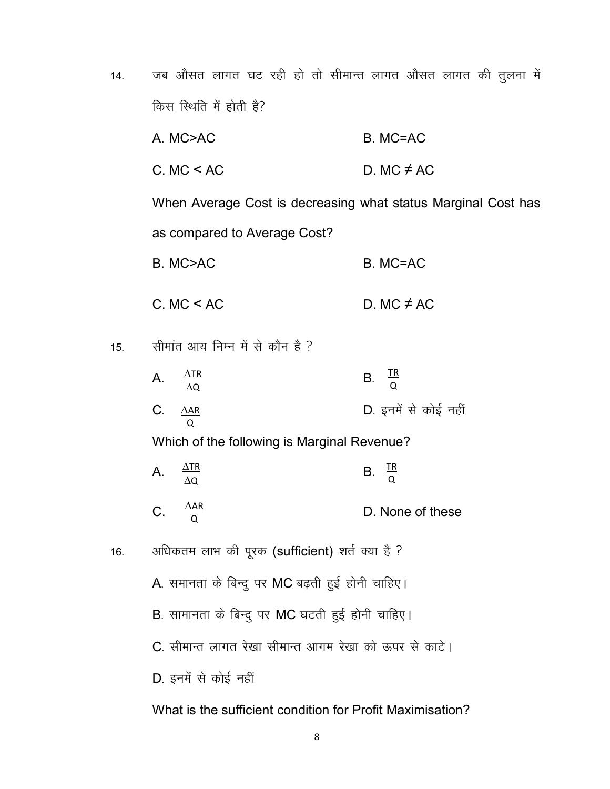14. जब औसत लागत घट रही हो तो सीमान्त लागत औसत लागत की तुलना में किस स्थिति में होती है?

|     | A. MC>AC                                                      | B. MC=AC             |
|-----|---------------------------------------------------------------|----------------------|
|     | C. MC < AC                                                    | D. MC $\neq$ AC      |
|     | When Average Cost is decreasing what status Marginal Cost has |                      |
|     | as compared to Average Cost?                                  |                      |
|     | B. MC>AC                                                      | B. MC=AC             |
|     | C. MC < AC                                                    | D. MC $\neq$ AC      |
| 15. | सीमांत आय निम्न में से कौन है ?                               |                      |
|     | $\frac{\Delta \text{TR}}{\Delta \text{Q}}$<br>A.              | B. $\frac{TR}{0}$    |
|     | $C_{\cdot}$<br>$\Delta AR$<br>$\Omega$                        | D. इनमें से कोई नहीं |
|     | Which of the following is Marginal Revenue?                   |                      |
|     | $\frac{\Delta \text{TR}}{\Delta \text{Q}}$<br>A.              | B. $\frac{TR}{0}$    |
|     | $\frac{\Delta AR}{Q}$<br>C.                                   | D. None of these     |
| 16. | अधिकतम लाभ की पूरक (sufficient) शर्त क्या है ?                |                      |
|     | A. समानता के बिन्दु पर MC बढ़ती हुई होनी चाहिए।               |                      |
|     | B. सामानता के बिन्दु पर MC घटती हुई होनी चाहिए।               |                      |
|     | C. सीमान्त लागत रेखा सीमान्त आगम रेखा को ऊपर से काटे।         |                      |
|     | D. इनमें से कोई नहीं                                          |                      |
|     |                                                               |                      |

What is the sufficient condition for Profit Maximisation?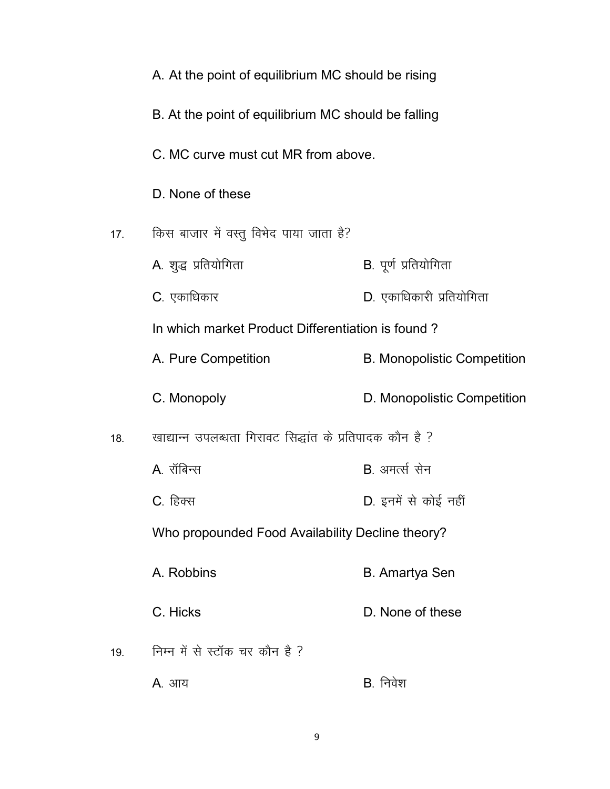|     | A. At the point of equilibrium MC should be rising       |                                    |
|-----|----------------------------------------------------------|------------------------------------|
|     | B. At the point of equilibrium MC should be falling      |                                    |
|     | C. MC curve must cut MR from above.                      |                                    |
|     | D. None of these                                         |                                    |
| 17. | किस बाजार में वस्तु विभेद पाया जाता है?                  |                                    |
|     | A. शुद्ध प्रतियोगिता                                     | B. पूर्ण प्रतियोगिता               |
|     | <b>C</b> . एकाधिकार                                      | D. एकाधिकारी प्रतियोगिता           |
|     | In which market Product Differentiation is found?        |                                    |
|     | A. Pure Competition                                      | <b>B. Monopolistic Competition</b> |
|     | C. Monopoly                                              | D. Monopolistic Competition        |
| 18. | खाद्यान्न उपलब्धता गिरावट सिद्धांत के प्रतिपादक कौन है ? |                                    |
|     | A. रॉबिन्स                                               | B. अमर्त्स सेन                     |
|     | C. हिक्स                                                 | D. इनमें से कोई नहीं               |
|     | Who propounded Food Availability Decline theory?         |                                    |
|     | A. Robbins                                               | <b>B.</b> Amartya Sen              |
|     | C. Hicks                                                 | D. None of these                   |
| 19. | निम्न में से स्टॉक चर कौन है ?                           |                                    |
|     | <b>A</b> . आय                                            | B. निवेश                           |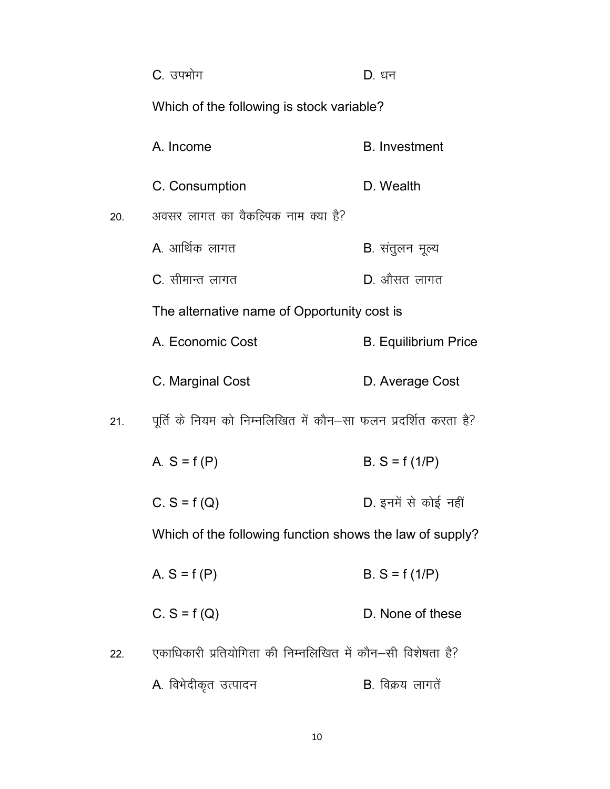|     | C. उपभोग                                                       | D. धन                       |
|-----|----------------------------------------------------------------|-----------------------------|
|     | Which of the following is stock variable?                      |                             |
|     | A. Income                                                      | <b>B.</b> Investment        |
|     | C. Consumption                                                 | D. Wealth                   |
| 20. | अवसर लागत का वैकल्पिक नाम क्या है?                             |                             |
|     | A. आर्थिक लागत                                                 | <b>B</b> . संतुलन मूल्य     |
|     | C. सीमान्त लागत                                                | $D.$ औसत लागत               |
|     | The alternative name of Opportunity cost is                    |                             |
|     | A. Economic Cost                                               | <b>B.</b> Equilibrium Price |
|     | C. Marginal Cost                                               | D. Average Cost             |
| 21. | पूर्ति के नियम को निम्नलिखित में कौन-सा फलन प्रदर्शित करता है? |                             |
|     | A. $S = f(P)$                                                  | $B.S = f(1/P)$              |
|     | $C. S = f(Q)$                                                  | D. इनमें से कोई नहीं        |
|     | Which of the following function shows the law of supply?       |                             |
|     | A. $S = f(P)$                                                  | $B.S = f(1/P)$              |
|     | $C. S = f(Q)$                                                  | D. None of these            |
| 22. | एकाधिकारी प्रतियोगिता की निम्नलिखित में कौन-सी विशेषता है?     |                             |
|     | A. विभेदीकृत उत्पादन                                           | B. विक्रय लागतें            |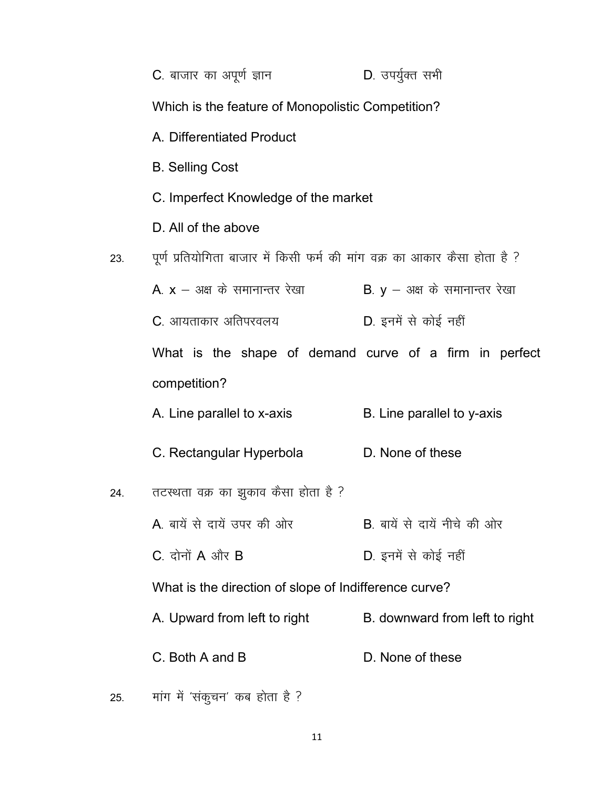|     | C. बाजार का अपूर्ण ज्ञान                                                  | D. उपर्युक्त सभी               |
|-----|---------------------------------------------------------------------------|--------------------------------|
|     | Which is the feature of Monopolistic Competition?                         |                                |
|     | A. Differentiated Product                                                 |                                |
|     | <b>B.</b> Selling Cost                                                    |                                |
|     | C. Imperfect Knowledge of the market                                      |                                |
|     | D. All of the above                                                       |                                |
| 23. | पूर्ण प्रतियोगिता बाजार में किसी फर्म की मांग वक्र का आकार कैसा होता है ? |                                |
|     | A. $x -$ अक्ष के समानान्तर रेखा                                           | B. $y - 34$ के समानान्तर रेखा  |
|     | C. आयताकार अतिपरवलय                                                       | D. इनमें से कोई नहीं           |
|     | What is the shape of demand curve of a firm in perfect                    |                                |
|     | competition?                                                              |                                |
|     | A. Line parallel to x-axis                                                | B. Line parallel to y-axis     |
|     | C. Rectangular Hyperbola                                                  | D. None of these               |
| 24. | तटस्थता वक्र का झुकाव कैसा होता है ?                                      |                                |
|     | A. बायें से दायें उपर की ओर                                               | B. बायें से दायें नीचे की ओर   |
|     | $C.$ दोनों $A$ और $B$                                                     | D. इनमें से कोई नहीं           |
|     | What is the direction of slope of Indifference curve?                     |                                |
|     | A. Upward from left to right                                              | B. downward from left to right |
|     | C. Both A and B                                                           | D. None of these               |
| 25. | मांग में 'संकुचन' कब होता है ?                                            |                                |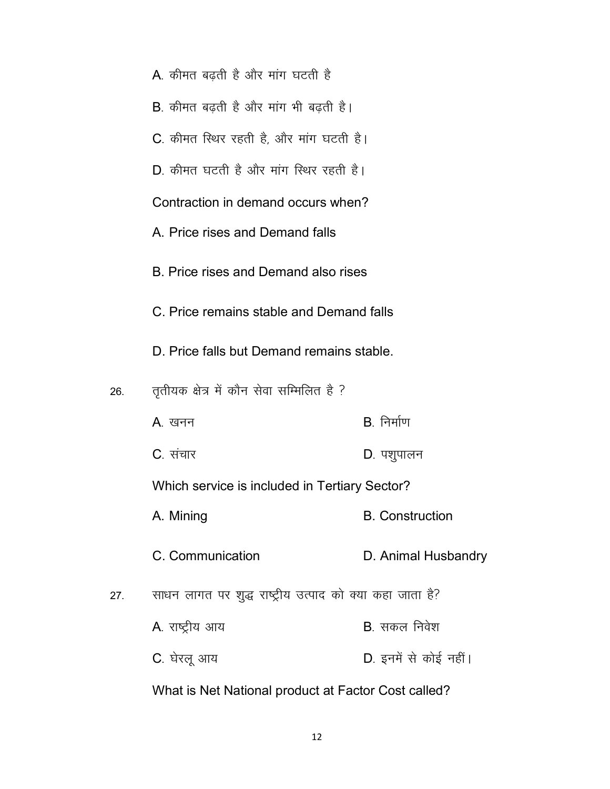|     | <b>A</b> . कीमत बढ़ती है और मांग घटती है                 |                        |
|-----|----------------------------------------------------------|------------------------|
|     | B. कीमत बढ़ती है और मांग भी बढ़ती है।                    |                        |
|     | C. कीमत स्थिर रहती है, और मांग घटती है।                  |                        |
|     | $\overline{D}$ कीमत घटती है और मांग स्थिर रहती है।       |                        |
|     | Contraction in demand occurs when?                       |                        |
|     | A. Price rises and Demand falls                          |                        |
|     | B. Price rises and Demand also rises                     |                        |
|     | C. Price remains stable and Demand falls                 |                        |
|     | D. Price falls but Demand remains stable.                |                        |
| 26. | तृतीयक क्षेत्र में कौन सेवा सम्मिलित है ?                |                        |
|     | A. खनन                                                   | $B$ निर्माण            |
|     | C. संचार                                                 | D. पशुपालन             |
|     | Which service is included in Tertiary Sector?            |                        |
|     | A. Mining                                                | <b>B.</b> Construction |
|     | C. Communication                                         | D. Animal Husbandry    |
| 27. | साधन लागत पर शुद्ध राष्ट्रीय उत्पाद को क्या कहा जाता है? |                        |
|     | A. राष्ट्रीय आय                                          | B. सकल निवेश           |
|     |                                                          |                        |
|     | C. घेरलू आय                                              | D. इनमें से कोई नहीं।  |

What is Net National product at Factor Cost called?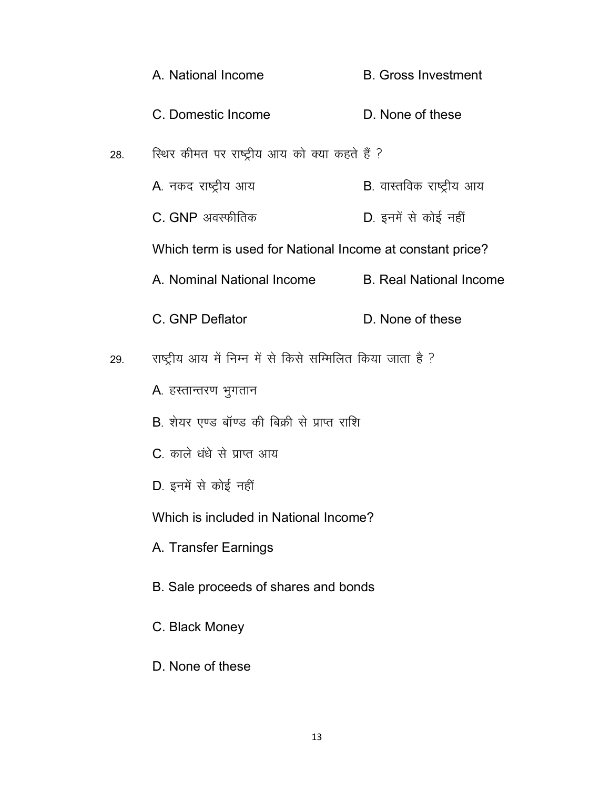|     | A. National Income                                         | <b>B.</b> Gross Investment       |
|-----|------------------------------------------------------------|----------------------------------|
|     | C. Domestic Income                                         | D. None of these                 |
| 28. | स्थिर कीमत पर राष्ट्रीय आय को क्या कहते हैं ?              |                                  |
|     | A. नकद राष्ट्रीय आय                                        | <b>B</b> . वास्तविक राष्ट्रीय आय |
|     | C. GNP अवस्फीतिक                                           | D. इनमें से कोई नहीं             |
|     | Which term is used for National Income at constant price?  |                                  |
|     | A. Nominal National Income                                 | <b>B.</b> Real National Income   |
|     | C. GNP Deflator                                            | D. None of these                 |
| 29. | राष्ट्रीय आय में निम्न में से किसे सम्मिलित किया जाता है ? |                                  |
|     | A. हस्तान्तरण भुगतान                                       |                                  |
|     | B. शेयर एण्ड बॉण्ड की बिक्री से प्राप्त राशि               |                                  |
|     | C. काले धंधे से प्राप्त आय                                 |                                  |
|     | D. इनमें से कोई नहीं                                       |                                  |
|     | Which is included in National Income?                      |                                  |
|     | A. Transfer Earnings                                       |                                  |
|     | B. Sale proceeds of shares and bonds                       |                                  |
|     | C. Black Money                                             |                                  |

D. None of these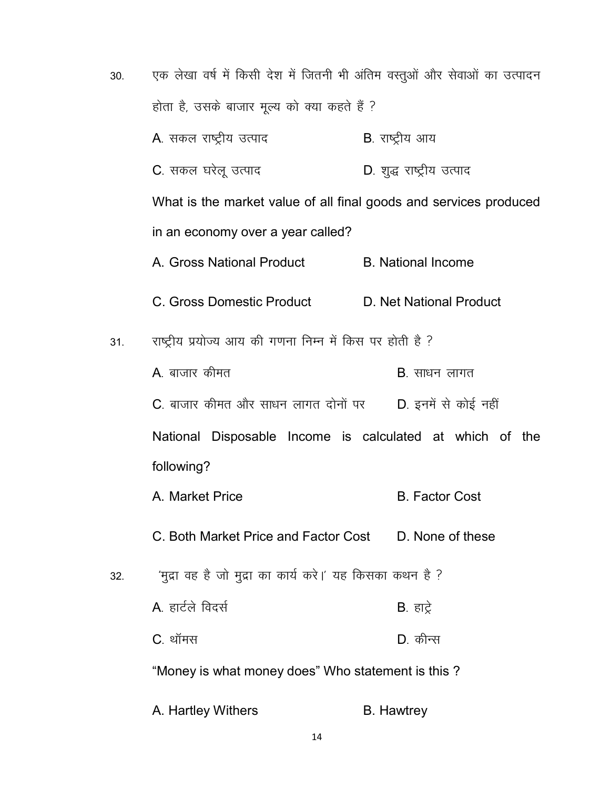| 30. | एक लेखा वर्ष में किसी देश में जितनी भी अंतिम वस्तुओं और सेवाओं का उत्पादन<br>होता है, उसके बाजार मूल्य को क्या कहते हैं ? |                           |  |
|-----|---------------------------------------------------------------------------------------------------------------------------|---------------------------|--|
|     |                                                                                                                           |                           |  |
|     | A. सकल राष्ट्रीय उत्पाद                                                                                                   | <b>B</b> . राष्ट्रीय आय   |  |
|     | C. सकल घरेलू उत्पाद                                                                                                       | D. शुद्ध राष्ट्रीय उत्पाद |  |
|     | What is the market value of all final goods and services produced                                                         |                           |  |
|     | in an economy over a year called?                                                                                         |                           |  |
|     | A. Gross National Product                                                                                                 | <b>B.</b> National Income |  |
|     | C. Gross Domestic Product                                                                                                 | D. Net National Product   |  |
| 31. | राष्ट्रीय प्रयोज्य आय की गणना निम्न में किस पर होती है ?                                                                  |                           |  |
|     | A. बाजार कीमत                                                                                                             | <b>B</b> . साधन लागत      |  |
|     | C. बाजार कीमत और साधन लागत दोनों पर      D. इनमें से कोई नहीं                                                             |                           |  |
|     | National Disposable Income is calculated at which of the                                                                  |                           |  |
|     | following?                                                                                                                |                           |  |
|     | A. Market Price                                                                                                           | <b>B.</b> Factor Cost     |  |
|     | C. Both Market Price and Factor Cost D. None of these                                                                     |                           |  |
| 32. | 'मुद्रा वह है जो मुद्रा का कार्य करे।' यह किसका कथन है ?                                                                  |                           |  |
|     | A. हार्टले विदर्स                                                                                                         | <b>B</b> . हाट्रे         |  |
|     | C. थॉमस                                                                                                                   | D. कीन्स                  |  |
|     | "Money is what money does" Who statement is this?                                                                         |                           |  |
|     | A. Hartley Withers                                                                                                        | <b>B.</b> Hawtrey         |  |

 $14\,$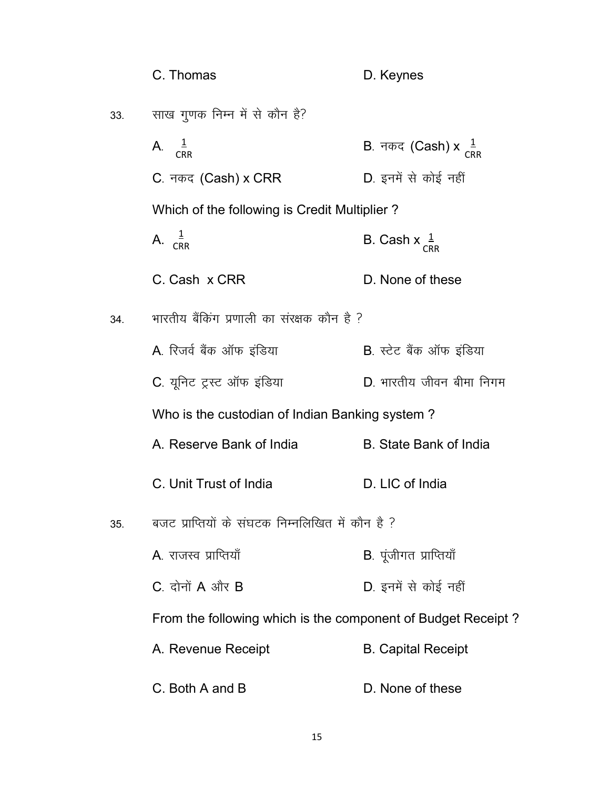|     | C. Thomas                                                    | D. Keynes                                            |
|-----|--------------------------------------------------------------|------------------------------------------------------|
| 33. | साख गुणक निम्न में से कौन है?                                |                                                      |
|     | A. $\frac{1}{CRR}$                                           | B. नकद (Cash) x $\frac{1}{C_{\mathsf{R}\mathsf{R}}}$ |
|     | C. नकद (Cash) x CRR                                          | D. इनमें से कोई नहीं                                 |
|     | Which of the following is Credit Multiplier?                 |                                                      |
|     | A. $\frac{1}{CRR}$                                           | B. Cash $x \frac{1}{CRR}$                            |
|     | C. Cash x CRR                                                | D. None of these                                     |
| 34. | भारतीय बैंकिंग प्रणाली का संरक्षक कौन है ?                   |                                                      |
|     | A. रिजर्व बैंक ऑफ इंडिया                                     | <b>B</b> . स्टेट बैंक ऑफ इंडिया                      |
|     | C. यूनिट ट्रस्ट ऑफ इंडिया                                    | D. भारतीय जीवन बीमा निगम                             |
|     | Who is the custodian of Indian Banking system?               |                                                      |
|     | A. Reserve Bank of India                                     | <b>B.</b> State Bank of India                        |
|     | C. Unit Trust of India                                       | D. LIC of India                                      |
| 35. | बजट प्राप्तियों के संघटक निम्नलिखित में कौन है ?             |                                                      |
|     | <b>A</b> . राजस्व प्राप्तियाँ                                | B. पूंजीगत प्राप्तियाँ                               |
|     | $C_{\cdot}$ दोनों $A$ और $B$                                 | D. इनमें से कोई नहीं                                 |
|     | From the following which is the component of Budget Receipt? |                                                      |
|     | A. Revenue Receipt                                           | <b>B. Capital Receipt</b>                            |
|     | C. Both A and B                                              | D. None of these                                     |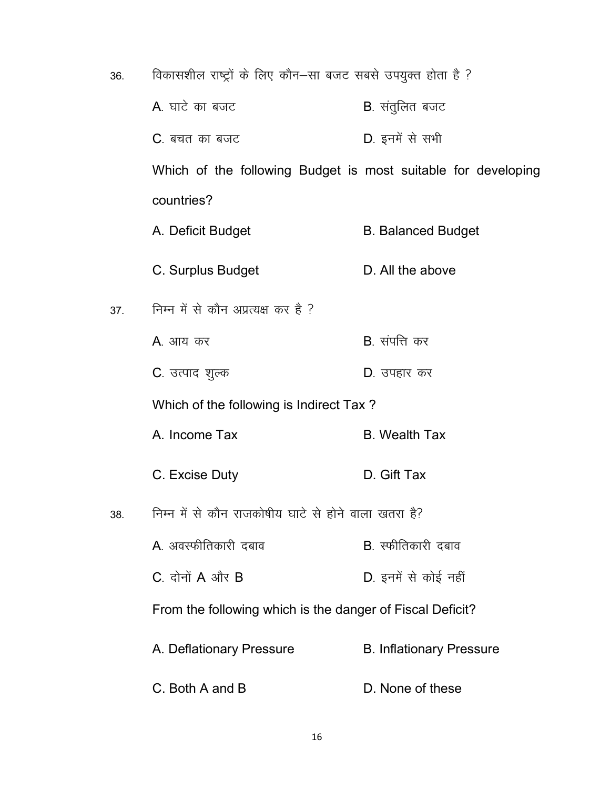| 36. | विकासशील राष्ट्रों के लिए कौन–सा बजट सबसे उपयुक्त होता है ?   |                                 |  |
|-----|---------------------------------------------------------------|---------------------------------|--|
|     | A. घाटे का बजट                                                | <b>B</b> . संतुलित बजट          |  |
|     | <b>C</b> . बचत का बजट                                         | D. इनमें से सभी                 |  |
|     | Which of the following Budget is most suitable for developing |                                 |  |
|     | countries?                                                    |                                 |  |
|     | A. Deficit Budget                                             | <b>B. Balanced Budget</b>       |  |
|     | C. Surplus Budget                                             | D. All the above                |  |
| 37. | निम्न में से कौन अप्रत्यक्ष कर है ?                           |                                 |  |
|     | A. आय कर                                                      | <b>B</b> . संपत्ति कर           |  |
|     | C. उत्पाद शुल्क                                               | D. उपहार कर                     |  |
|     | Which of the following is Indirect Tax?                       |                                 |  |
|     | A. Income Tax                                                 | <b>B.</b> Wealth Tax            |  |
|     | C. Excise Duty                                                | D. Gift Tax                     |  |
| 38. | निम्न में से कौन राजकोषीय घाटे से होने वाला खतरा है?          |                                 |  |
|     | A. अवस्फीतिकारी दबाव                                          | <b>B</b> . स्फीतिकारी दबाव      |  |
|     | C. दोनों $A$ और $B$                                           | D. इनमें से कोई नहीं            |  |
|     | From the following which is the danger of Fiscal Deficit?     |                                 |  |
|     | A. Deflationary Pressure                                      | <b>B. Inflationary Pressure</b> |  |
|     | C. Both A and B                                               | D. None of these                |  |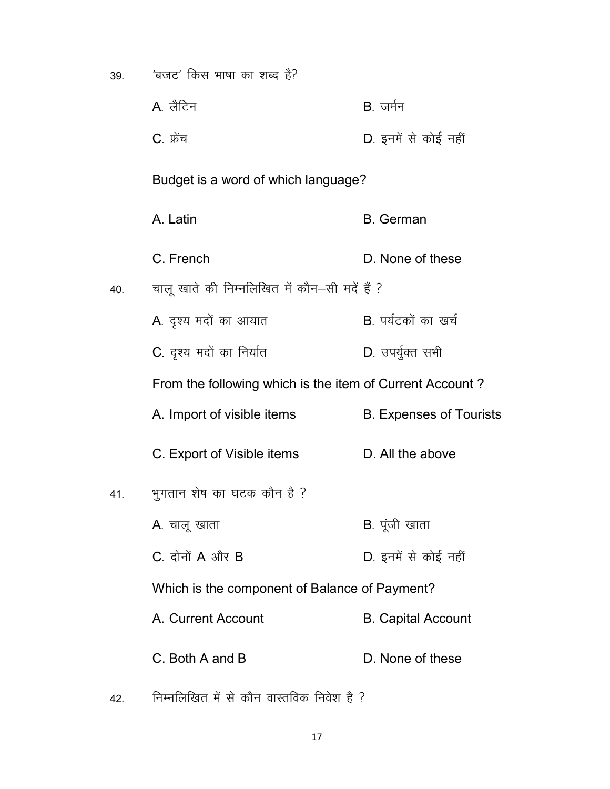| 39. | 'बजट' किस भाषा का शब्द है?                               |                                |
|-----|----------------------------------------------------------|--------------------------------|
|     | A लैटिन                                                  | B. जर्मन                       |
|     | C. फ्रेंच                                                | D. इनमें से कोई नहीं           |
|     | Budget is a word of which language?                      |                                |
|     | A. Latin                                                 | <b>B.</b> German               |
|     | C. French                                                | D. None of these               |
| 40. | चालू खाते की निम्नलिखित में कौन–सी मदें हैं ?            |                                |
|     | A. दृश्य मदों का आयात                                    | B. पर्यटकों का खर्च            |
|     | C. दृश्य मदों का निर्यात                                 | D. उपर्युक्त सभी               |
|     | From the following which is the item of Current Account? |                                |
|     | A. Import of visible items                               | <b>B. Expenses of Tourists</b> |
|     | C. Export of Visible items                               | D. All the above               |
| 41. | भुगतान शेष का घटक कौन है ?                               |                                |
|     | A. चालू खाता                                             | <b>B</b> . पूंजी खाता          |
|     | $C.$ दोनों $A$ और $B$                                    | D. इनमें से कोई नहीं           |
|     | Which is the component of Balance of Payment?            |                                |
|     | A. Current Account                                       | <b>B. Capital Account</b>      |
|     | C. Both A and B                                          | D. None of these               |

 $42.$  निम्नलिखित में से कौन वास्तविक निवेश है ?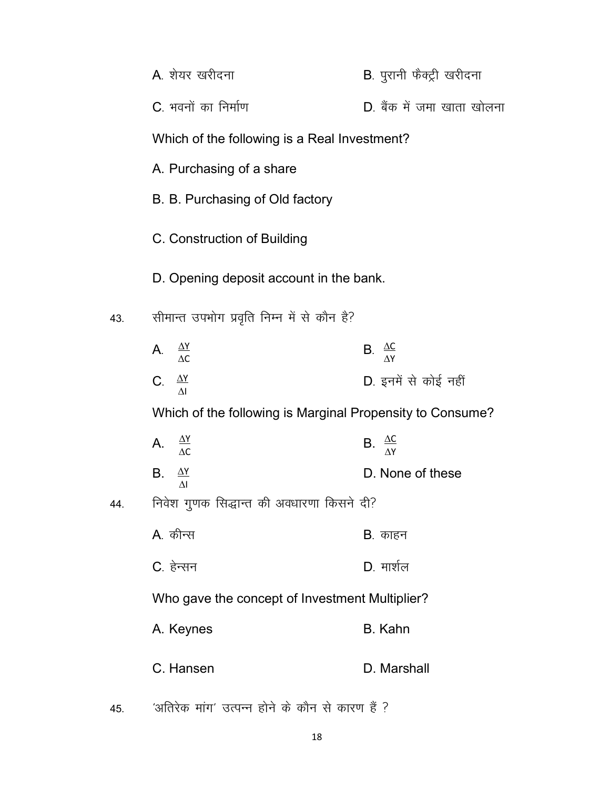|     | A. शेयर खरीदना                                            | B. पुरानी फैक्ट्री खरीदना      |
|-----|-----------------------------------------------------------|--------------------------------|
|     | C. भवनों का निर्माण                                       | D. बैंक में जमा खाता खोलना     |
|     | Which of the following is a Real Investment?              |                                |
|     | A. Purchasing of a share                                  |                                |
|     | B. B. Purchasing of Old factory                           |                                |
|     | C. Construction of Building                               |                                |
|     | D. Opening deposit account in the bank.                   |                                |
| 43. | सीमान्त उपभोग प्रवृति निम्न में से कौन है?                |                                |
|     | A. $\frac{\Delta Y}{\Delta C}$                            | B. $\frac{\Delta C}{\Delta Y}$ |
|     | C. $\frac{\Delta Y}{\Delta I}$                            | D. इनमें से कोई नहीं           |
|     | Which of the following is Marginal Propensity to Consume? |                                |
|     | A. $\frac{\Delta Y}{\Delta C}$                            | B. $\frac{\Delta C}{\Delta Y}$ |
|     | B. $\frac{\Delta Y}{\Delta I}$                            | D. None of these               |
| 44. | निवेश गुणक सिद्धान्त की अवधारणा किसने दी?                 |                                |
|     | A. कीन्स                                                  | <b>B</b> . काहन                |
|     | C. हेन्सन                                                 | D. मार्शल                      |
|     | Who gave the concept of Investment Multiplier?            |                                |
|     | A. Keynes                                                 | <b>B.</b> Kahn                 |
|     | C. Hansen                                                 | D. Marshall                    |
| 45. | 'अतिरेक मांग' उत्पन्न होने के कौन से कारण हैं ?           |                                |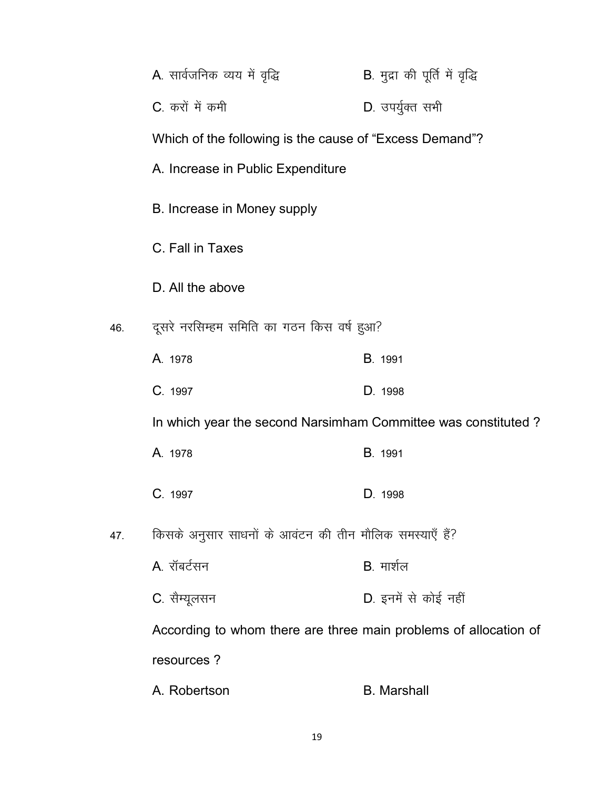|     | A. सार्वजनिक व्यय में वृद्धि                                     | B. मुद्रा की पूर्ति में वृद्धि |
|-----|------------------------------------------------------------------|--------------------------------|
|     | C. करों में कमी                                                  | D. उपर्युक्त सभी               |
|     | Which of the following is the cause of "Excess Demand"?          |                                |
|     | A. Increase in Public Expenditure                                |                                |
|     | B. Increase in Money supply                                      |                                |
|     | C. Fall in Taxes                                                 |                                |
|     | D. All the above                                                 |                                |
| 46. | दूसरे नरसिम्हम समिति का गठन किस वर्ष हुआ?                        |                                |
|     | A. 1978                                                          | B. 1991                        |
|     | C. 1997                                                          | D. 1998                        |
|     | In which year the second Narsimham Committee was constituted?    |                                |
|     | A. 1978                                                          | B. 1991                        |
|     | C. 1997                                                          | D. 1998                        |
| 47. | किसके अनुसार साधनों के आवंटन की तीन मौलिक समस्याएँ हैं?          |                                |
|     | A. रॉबर्टसन                                                      | B. मार्शल                      |
|     | C. सैम्यूलसन                                                     | D. इनमें से कोई नहीं           |
|     | According to whom there are three main problems of allocation of |                                |
|     | resources?                                                       |                                |
|     | A. Robertson                                                     | <b>B.</b> Marshall             |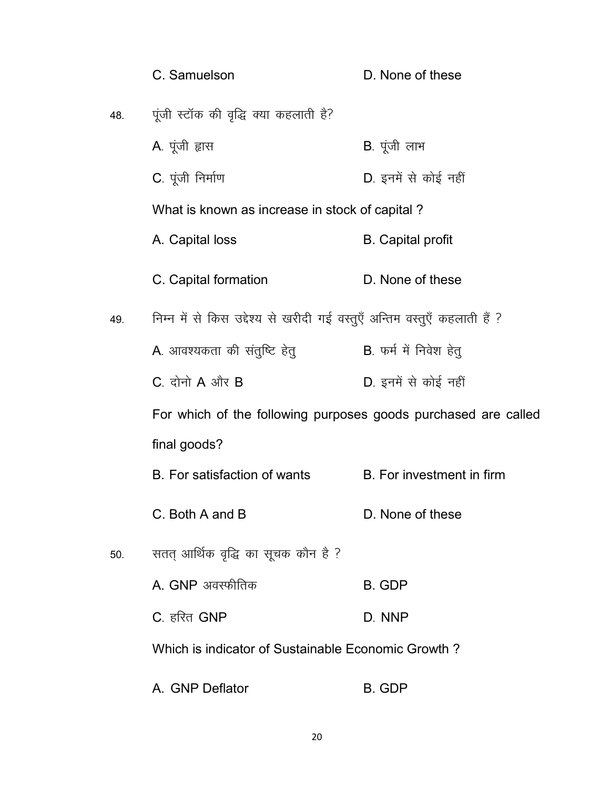|     | C. Samuelson                                                              | D. None of these          |
|-----|---------------------------------------------------------------------------|---------------------------|
| 48. | पूंजी स्टॉक की वृद्धि क्या कहलाती है?                                     |                           |
|     | A. पूंजी ह्रास                                                            | B. पूंजी लाभ              |
|     | C. पूंजी निर्माण                                                          | D. इनमें से कोई नहीं      |
|     | What is known as increase in stock of capital?                            |                           |
|     | A. Capital loss                                                           | <b>B.</b> Capital profit  |
|     | C. Capital formation                                                      | D. None of these          |
| 49. | निम्न में से किस उद्देश्य से खरीदी गई वस्तुएँ अन्तिम वस्तुएँ कहलाती हैं ? |                           |
|     | A. आवश्यकता की संतुष्टि हेतु                                              | B. फर्म में निवेश हेतू    |
|     | $C_{.}$ दोनो $A$ और $B$                                                   | D. इनमें से कोई नहीं      |
|     | For which of the following purposes goods purchased are called            |                           |
|     | final goods?                                                              |                           |
|     | B. For satisfaction of wants                                              | B. For investment in firm |
|     | C. Both A and B                                                           | D. None of these          |
| 50. | सतत् आर्थिक वृद्धि का सूचक कौन है ?                                       |                           |
|     | A. GNP अवस्फीतिक                                                          | <b>B. GDP</b>             |
|     | C. हरित GNP                                                               | D. NNP                    |
|     | Which is indicator of Sustainable Economic Growth?                        |                           |
|     | A. GNP Deflator                                                           | <b>B. GDP</b>             |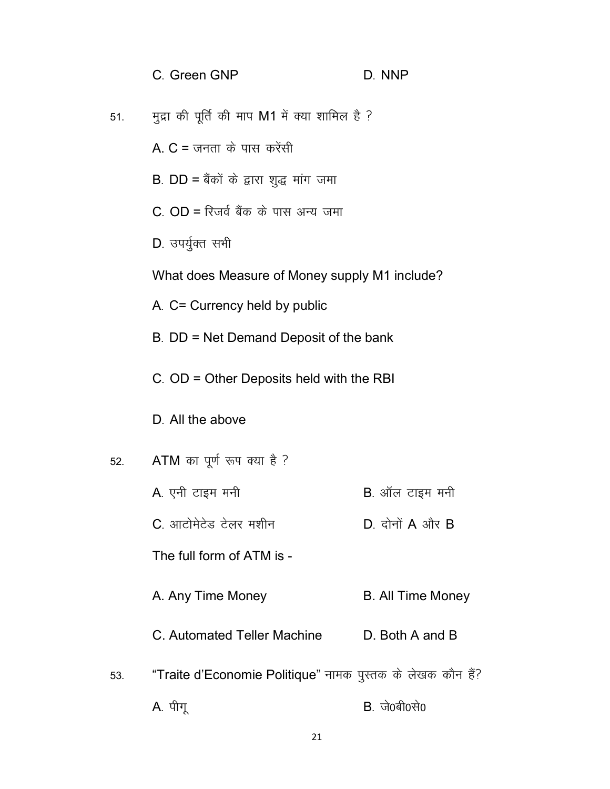| C. Green GNP                                   | D. NNP |
|------------------------------------------------|--------|
| मुद्रा की पूर्ति की माप M1 में क्या शामिल है ? |        |

A.  $C = \pi \pi \pi \ \hat{\phi}$  पास करेंसी

- B. DD = बैंकों के द्वारा शुद्ध मांग जमा
- $C.$   $OD = \overline{R}$ जर्व बैंक के पास अन्य जमा
- D. उपर्युक्त सभी

51.

What does Measure of Money supply M1 include?

- A. C= Currency held by public
- B. DD = Net Demand Deposit of the bank
- C. OD = Other Deposits held with the RBI
- D. All the above
- ATM का पूर्ण रूप क्या है ? 52.
	- A. एनी टाइम मनी **B**. ऑल टाइम मनी
		- C. आटोमेटेड टेलर मशीन  $D.$  दोनों  $A$  और  $B$

The full form of ATM is -

- A. Any Time Money **B. All Time Money**
- C. Automated Teller Machine D. Both A and B
- "Traite d'Economie Politique" नामक पुस्तक के लेखक कौन हैं? 53.
	- A. पीगू  $B.$  जे0बी0से0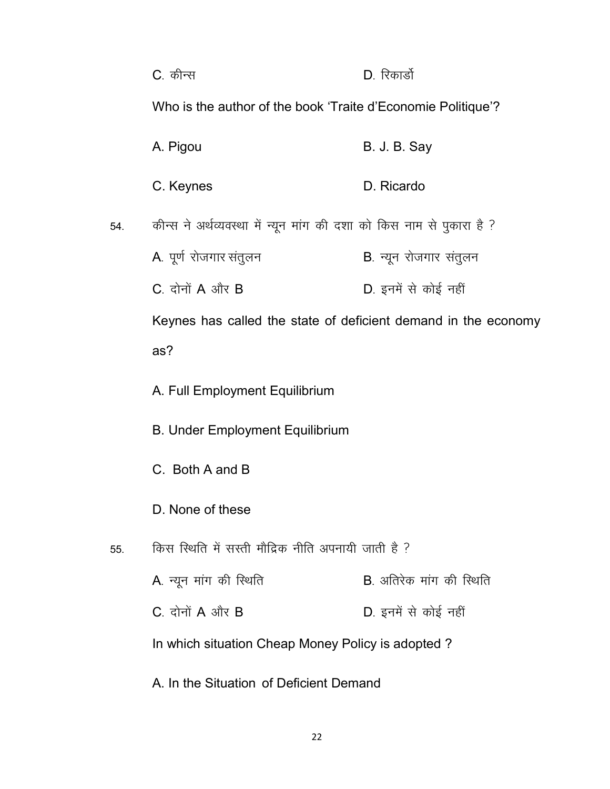|                                         | C. कीन्स                                                              | D. रिकार्डो                    |  |
|-----------------------------------------|-----------------------------------------------------------------------|--------------------------------|--|
|                                         | Who is the author of the book 'Traite d'Economie Politique'?          |                                |  |
|                                         | A. Pigou                                                              | <b>B. J. B. Say</b>            |  |
|                                         | C. Keynes                                                             | D. Ricardo                     |  |
| 54.                                     | कीन्स ने अर्थव्यवस्था में न्यून मांग की दशा को किस नाम से पुकारा है ? |                                |  |
|                                         | A. पूर्ण रोजगार संतुलन                                                | <b>B</b> . न्यून रोजगार संतुलन |  |
|                                         | C. दोनों $A$ और $B$                                                   | D. इनमें से कोई नहीं           |  |
|                                         | Keynes has called the state of deficient demand in the economy        |                                |  |
|                                         | as?                                                                   |                                |  |
|                                         | A. Full Employment Equilibrium                                        |                                |  |
|                                         | <b>B. Under Employment Equilibrium</b>                                |                                |  |
|                                         | C. Both A and B                                                       |                                |  |
|                                         | D. None of these                                                      |                                |  |
| 55.                                     | किस स्थिति में सस्ती मौद्रिक नीति अपनायी जाती है ?                    |                                |  |
|                                         | A. न्यून मांग की स्थिति                                               | <b>B</b> अतिरेक मांग की स्थिति |  |
|                                         | $C_{.}$ दोनों $A$ और $B$                                              | D. इनमें से कोई नहीं           |  |
|                                         | In which situation Cheap Money Policy is adopted?                     |                                |  |
| A. In the Situation of Deficient Demand |                                                                       |                                |  |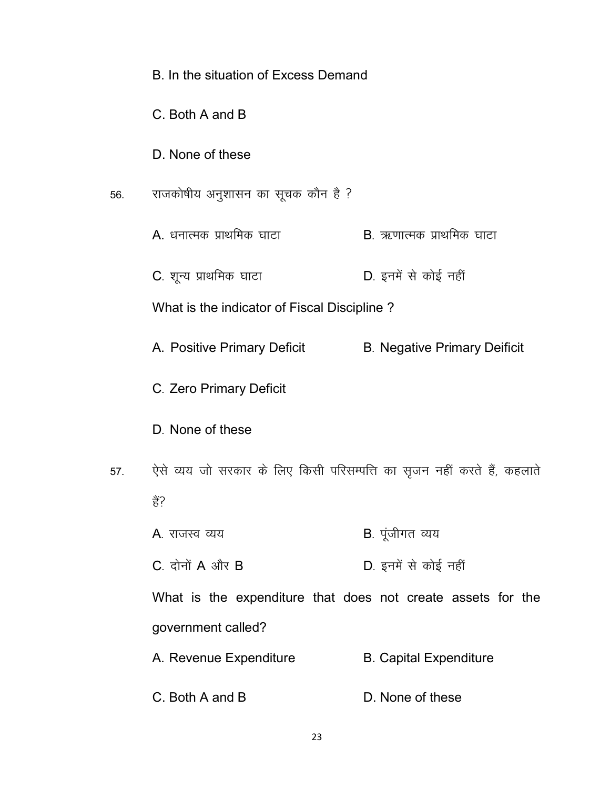|     | B. In the situation of Excess Demand                                    |                                     |
|-----|-------------------------------------------------------------------------|-------------------------------------|
|     | C. Both A and B                                                         |                                     |
|     | D. None of these                                                        |                                     |
| 56. | राजकोषीय अनुशासन का सूचक कौन है ?                                       |                                     |
|     | A. धनात्मक प्राथमिक घाटा                                                | <b>B</b> . ऋणात्मक प्राथमिक घाटा    |
|     | C. शून्य प्राथमिक घाटा                                                  | D. इनमें से कोई नहीं                |
|     | What is the indicator of Fiscal Discipline?                             |                                     |
|     | A. Positive Primary Deficit                                             | <b>B. Negative Primary Deificit</b> |
|     | C. Zero Primary Deficit                                                 |                                     |
|     | D. None of these                                                        |                                     |
| 57. | ऐसे व्यय जो सरकार के लिए किसी परिसम्पत्ति का सृजन नहीं करते हैं, कहलाते |                                     |
|     | हैं?                                                                    |                                     |
|     | <b>A</b> . राजस्व व्यय                                                  | <b>B</b> . पूंजीगत व्यय             |
|     | $C_{a}$ दोनों $A$ और $B$                                                | D. इनमें से कोई नहीं                |
|     | What is the expenditure that does not create assets for the             |                                     |
|     | government called?                                                      |                                     |
|     | A. Revenue Expenditure                                                  | <b>B. Capital Expenditure</b>       |
|     | C. Both A and B                                                         | D. None of these                    |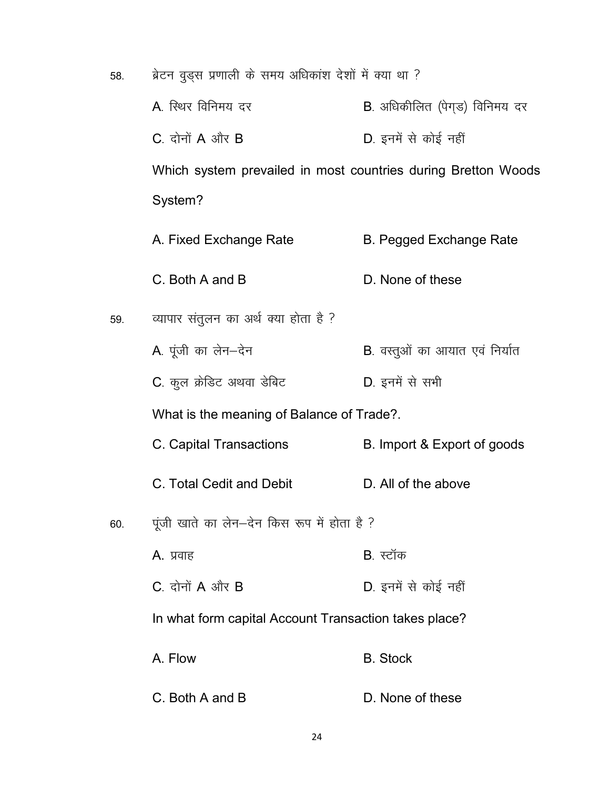58. ब्रेटन वृड्स प्रणाली के समय अधिकांश देशों में क्या था ?

- A. स्थिर विनिमय दर <br />
B. अधिकीलित (पेगड़) विनिमय दर
- $C.$  दोनों  $A$  और  $B$  D. इनमें से कोई नहीं

Which system prevailed in most countries during Bretton Woods System?

- A. Fixed Exchange Rate B. Pegged Exchange Rate
- C. Both A and B D. None of these
- 59. व्यापार संतुलन का अर्थ क्या होता है ?
	- A. पूंजी का लेन-देन  $B$ . वस्तूओं का आयात एवं निर्यात
	- C. कूल क्रेडिट अथवा डेबिट which D. इनमें से सभी

What is the meaning of Balance of Trade?.

- C. Capital Transactions B. Import & Export of goods
- C. Total Cedit and Debit D. All of the above
- 60. पूंजी खाते का लेन-देन किस रूप में होता है ?
	- A. प्रवाह स्टॉक B. स्टॉक
		- $C.$  दोनों A और B  $D.$  इनमें से कोई नहीं

In what form capital Account Transaction takes place?

- A. Flow B. Stock
- C. Both A and B D. None of these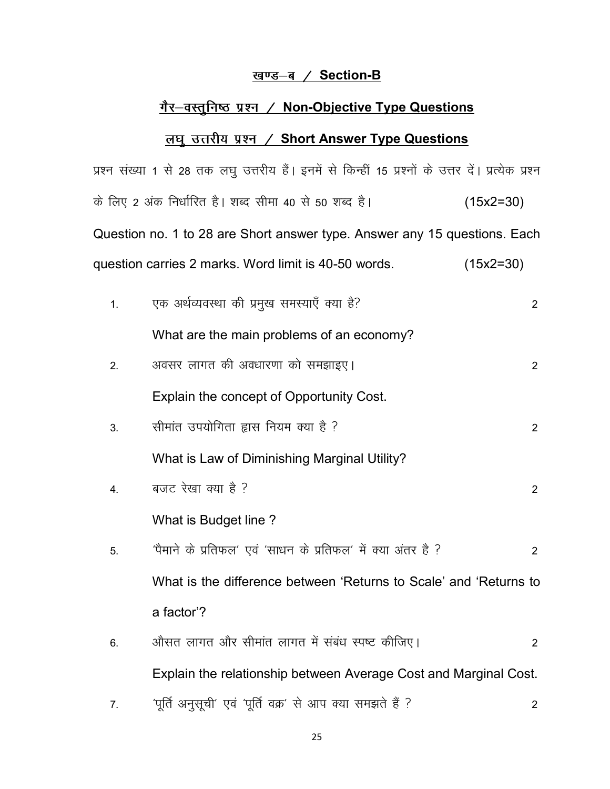# <u>खण्ड-ब / Section-B</u>

# गैर-वस्तुनिष्ठ प्रश्न / Non-Objective Type Questions

# <u>लघु उत्तरीय प्रश्न / Short Answer Type Questions</u>

|    | प्रश्न संख्या 1 से 28 तक लघु उत्तरीय हैं। इनमें से किन्हीं 15 प्रश्नों के उत्तर दें। प्रत्येक प्रश्न |                |
|----|------------------------------------------------------------------------------------------------------|----------------|
|    | के लिए 2 अंक निर्धारित है। शब्द सीमा 40 से 50 शब्द है।                                               | $(15x2=30)$    |
|    | Question no. 1 to 28 are Short answer type. Answer any 15 questions. Each                            |                |
|    | question carries 2 marks. Word limit is 40-50 words.                                                 | $(15x2=30)$    |
| 1. | एक अर्थव्यवस्था की प्रमुख समस्याएँ क्या है?                                                          | $\overline{2}$ |
|    | What are the main problems of an economy?                                                            |                |
| 2. | अवसर लागत की अवधारणा को समझाइए।                                                                      | $\overline{2}$ |
|    | Explain the concept of Opportunity Cost.                                                             |                |
| 3. | सीमांत उपयोगिता ह्यास नियम क्या है ?                                                                 | $\overline{2}$ |
|    | What is Law of Diminishing Marginal Utility?                                                         |                |
| 4. | बजट रेखा क्या है ?                                                                                   | $\overline{2}$ |
|    | What is Budget line?                                                                                 |                |
| 5. | 'पैमाने के प्रतिफल' एवं 'साधन के प्रतिफल' में क्या अंतर है ?                                         | $\overline{2}$ |
|    | What is the difference between 'Returns to Scale' and 'Returns to                                    |                |
|    | a factor'?                                                                                           |                |
| 6. | औसत लागत और सीमांत लागत में संबंध स्पष्ट कीजिए।                                                      | $\overline{2}$ |
|    | Explain the relationship between Average Cost and Marginal Cost.                                     |                |
| 7. | 'पूर्ति अनुसूची' एवं 'पूर्ति वक्र' से आप क्या समझते हैं ?                                            | 2              |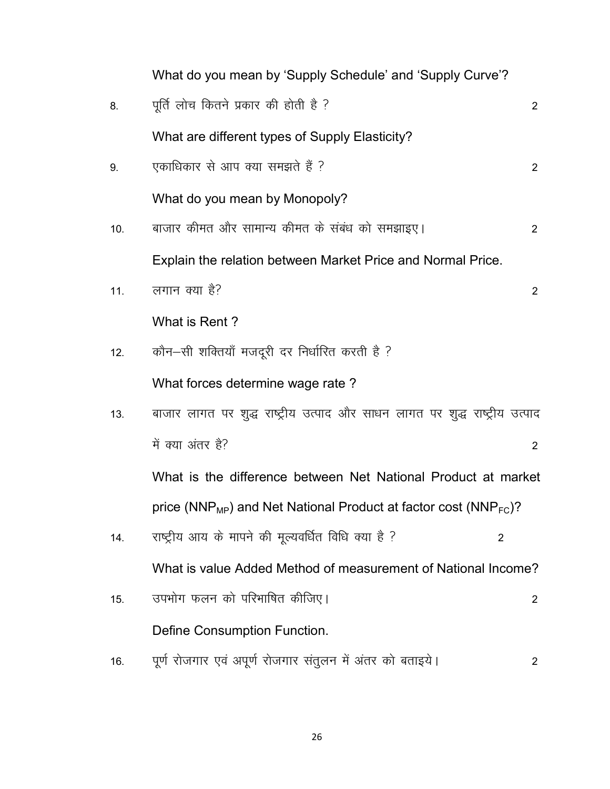|     | What do you mean by 'Supply Schedule' and 'Supply Curve'?                                |                |
|-----|------------------------------------------------------------------------------------------|----------------|
| 8.  | पूर्ति लोच कितने प्रकार की होती है ?                                                     | $\overline{2}$ |
|     | What are different types of Supply Elasticity?                                           |                |
| 9.  | एकाधिकार से आप क्या समझते हैं ?                                                          | $\overline{2}$ |
|     | What do you mean by Monopoly?                                                            |                |
| 10. | बाजार कीमत और सामान्य कीमत के संबंध को समझाइए।                                           | $\overline{2}$ |
|     | Explain the relation between Market Price and Normal Price.                              |                |
| 11. | लगान क्या है?                                                                            | $2^{\circ}$    |
|     | What is Rent?                                                                            |                |
| 12. | कौन-सी शक्तियाँ मजदूरी दर निर्धारित करती है ?                                            |                |
|     | What forces determine wage rate?                                                         |                |
| 13. | बाजार लागत पर शुद्ध राष्ट्रीय उत्पाद और साधन लागत पर शुद्ध राष्ट्रीय उत्पाद              |                |
|     | में क्या अंतर है?                                                                        | $\overline{2}$ |
|     | What is the difference between Net National Product at market                            |                |
|     | price (NNP <sub>MP</sub> ) and Net National Product at factor cost (NNP <sub>FC</sub> )? |                |
| 14. | राष्ट्रीय आय के मापने की मूल्यवर्धित विधि क्या है ?<br>2                                 |                |
|     | What is value Added Method of measurement of National Income?                            |                |
| 15. | उपभोग फलन को परिभाषित कीजिए।                                                             | 2              |
|     | Define Consumption Function.                                                             |                |
| 16. | पूर्ण रोजगार एवं अपूर्ण रोजगार संतुलन में अंतर को बताइये।                                | $\overline{2}$ |

 $26\,$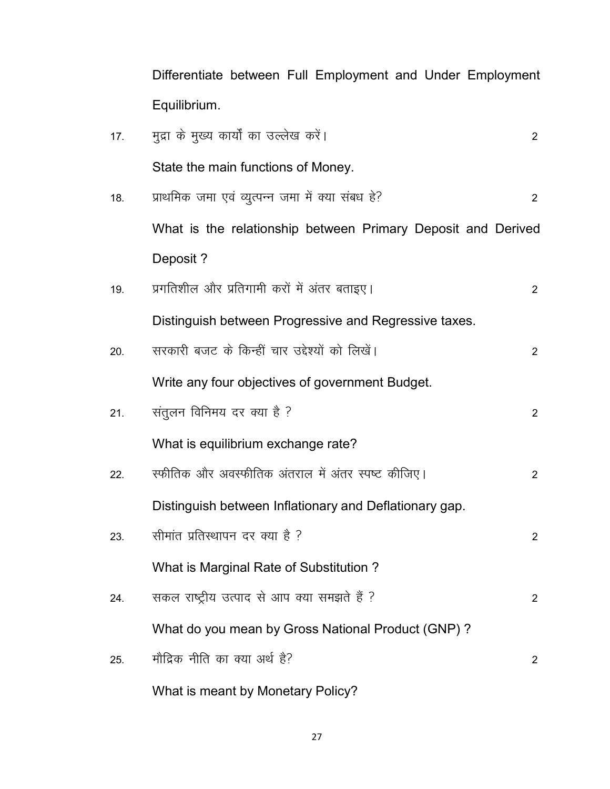Differentiate between Full Employment and Under Employment Equilibrium.

| 17. | मुद्रा के मुख्य कार्यों का उल्लेख करें।                      | $\overline{2}$ |
|-----|--------------------------------------------------------------|----------------|
|     | State the main functions of Money.                           |                |
| 18. | प्राथमिक जमा एवं व्युत्पन्न जमा में क्या संबध हे?            | $\overline{2}$ |
|     | What is the relationship between Primary Deposit and Derived |                |
|     | Deposit?                                                     |                |
| 19. | प्रगतिशील और प्रतिगामी करों में अंतर बताइए।                  | $\sqrt{2}$     |
|     | Distinguish between Progressive and Regressive taxes.        |                |
| 20. | सरकारी बजट के किन्हीं चार उद्देश्यों को लिखें।               | $\overline{2}$ |
|     | Write any four objectives of government Budget.              |                |
| 21. | संतुलन विनिमय दर क्या है ?                                   | $\overline{2}$ |
|     | What is equilibrium exchange rate?                           |                |
| 22. | स्फीतिक और अवस्फीतिक अंतराल में अंतर स्पष्ट कीजिए।           | $\overline{2}$ |
|     | Distinguish between Inflationary and Deflationary gap.       |                |
| 23. | सीमांत प्रतिस्थापन दर क्या है ?                              | $\overline{2}$ |
|     | What is Marginal Rate of Substitution?                       |                |
| 24. | सकल राष्ट्रीय उत्पाद से आप क्या समझते हैं ?                  | $\overline{2}$ |
|     | What do you mean by Gross National Product (GNP)?            |                |
| 25. | मौद्रिक नीति का क्या अर्थ है?                                | $\overline{2}$ |
|     | What is meant by Monetary Policy?                            |                |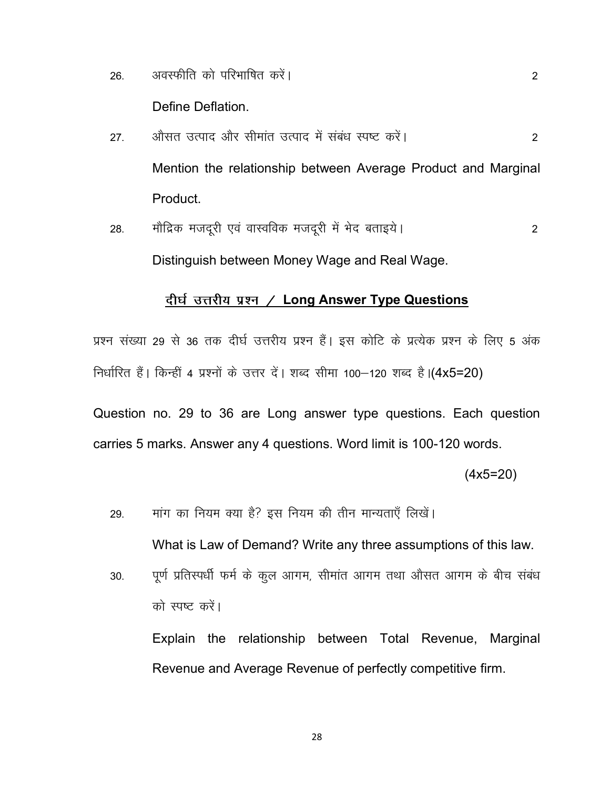अवस्फीति को परिभाषित करें। 26.

Define Deflation.

- औसत उत्पाद और सीमांत उत्पाद में संबंध स्पष्ट करें।  $27.$ 2 Mention the relationship between Average Product and Marginal Product.
- मौद्रिक मजदूरी एवं वास्वविक मजदूरी में भेद बताइये। 28. 2 Distinguish between Money Wage and Real Wage.

### दीर्घ उत्तरीय प्रश्न / Long Answer Type Questions

प्रश्न संख्या 29 से 36 तक दीर्घ उत्तरीय प्रश्न हैं। इस कोटि के प्रत्येक प्रश्न के लिए 5 अंक निर्धारित हैं। किन्हीं 4 प्रश्नों के उत्तर दें। शब्द सीमा 100–120 शब्द है। (4x5=20)

Question no. 29 to 36 are Long answer type questions. Each question carries 5 marks. Answer any 4 questions. Word limit is 100-120 words.

 $(4x5=20)$ 

2

मांग का नियम क्या है? इस नियम की तीन मान्यताएँ लिखें। 29.

What is Law of Demand? Write any three assumptions of this law.

पूर्ण प्रतिस्पर्धी फर्म के कूल आगम, सीमांत आगम तथा औसत आगम के बीच संबंध 30. को स्पष्ट करें।

Explain the relationship between Total Revenue, Marginal Revenue and Average Revenue of perfectly competitive firm.